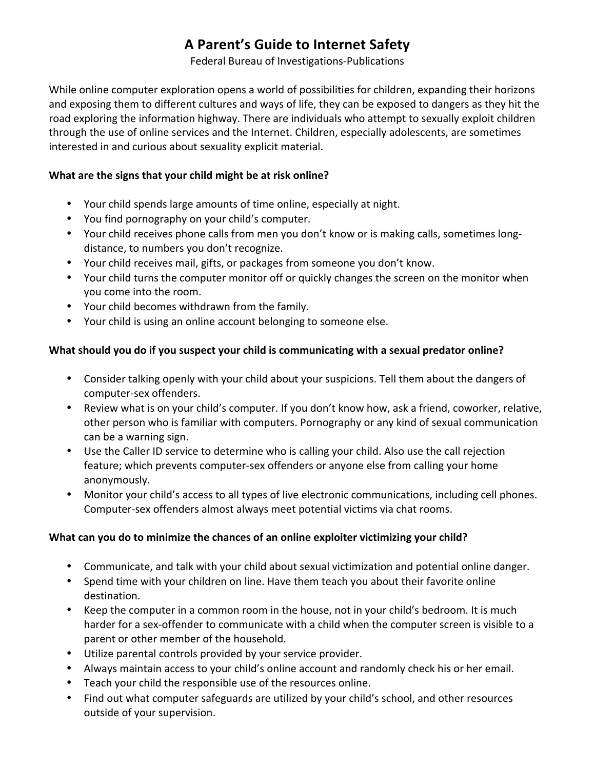## **A Parent's Guide to Internet Safety**

Federal Bureau of Investigations-Publications

While online computer exploration opens a world of possibilities for children, expanding their horizons and exposing them to different cultures and ways of life, they can be exposed to dangers as they hit the road exploring the information highway. There are individuals who attempt to sexually exploit children through the use of online services and the Internet. Children, especially adolescents, are sometimes interested in and curious about sexuality explicit material.

## What are the signs that your child might be at risk online?

- Your child spends large amounts of time online, especially at night.
- You find pornography on your child's computer.
- Your child receives phone calls from men you don't know or is making calls, sometimes longdistance, to numbers you don't recognize.
- Your child receives mail, gifts, or packages from someone you don't know.
- Your child turns the computer monitor off or quickly changes the screen on the monitor when you come into the room.
- Your child becomes withdrawn from the family.
- Your child is using an online account belonging to someone else.

## What should you do if you suspect your child is communicating with a sexual predator online?

- Consider talking openly with your child about your suspicions. Tell them about the dangers of computer-sex offenders.
- Review what is on your child's computer. If you don't know how, ask a friend, coworker, relative, other person who is familiar with computers. Pornography or any kind of sexual communication can be a warning sign.
- Use the Caller ID service to determine who is calling your child. Also use the call rejection feature; which prevents computer-sex offenders or anyone else from calling your home anonymously.
- Monitor your child's access to all types of live electronic communications, including cell phones. Computer-sex offenders almost always meet potential victims via chat rooms.

## What can you do to minimize the chances of an online exploiter victimizing your child?

- Communicate, and talk with your child about sexual victimization and potential online danger.
- Spend time with your children on line. Have them teach you about their favorite online destination.
- Keep the computer in a common room in the house, not in your child's bedroom. It is much harder for a sex-offender to communicate with a child when the computer screen is visible to a parent or other member of the household.
- Utilize parental controls provided by your service provider.
- Always maintain access to your child's online account and randomly check his or her email.
- Teach your child the responsible use of the resources online.
- Find out what computer safeguards are utilized by your child's school, and other resources outside of your supervision.